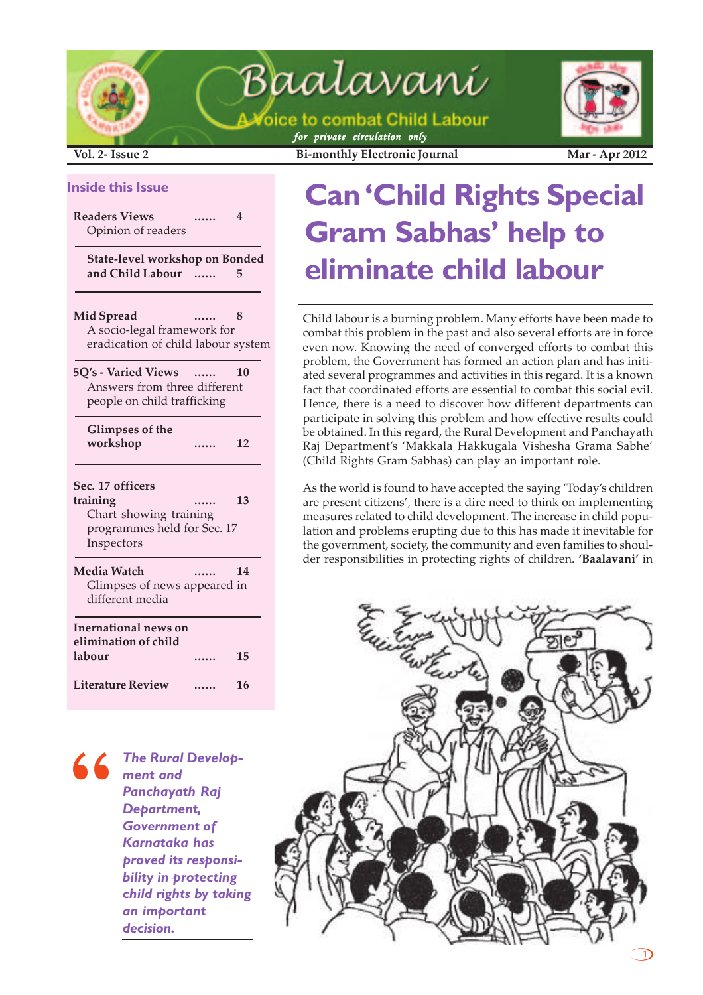

A Voice to combat Child Labour *for private circulation only*



**Vol. 2- Issue 2 Bi-monthly Electronic Journal Mar - Apr 2012**

#### **Inside this Issue**

**Readers Views ...... 4** Opinion of readers

**State-level workshop on Bonded and Child Labour ...... 5**

**Mid Spread ......** A socio-legal framework for eradication of child labour system

| <b>5O's - Varied Views</b><br>$\cdots$ | 10 |
|----------------------------------------|----|
| Answers from three different           |    |
| people on child trafficking            |    |

**Glimpses of the workshop ...... 12**

| Sec. 17 officers<br>training<br>Chart showing training<br>programmes held for Sec. 17<br>Inspectors |  | 13 |  |  |  |
|-----------------------------------------------------------------------------------------------------|--|----|--|--|--|
| Media Watch<br>Glimpses of news appeared in<br>different media                                      |  | 14 |  |  |  |
| Inernational news on<br>elimination of child<br>labour<br>15                                        |  |    |  |  |  |
| <b>Literature Review</b>                                                                            |  | 16 |  |  |  |

*The Rural Development and Panchayath Raj Department, Government of Karnataka has proved its responsibility in protecting child rights by taking an important decision.* **"**

# **Can 'Child Rights Special Gram Sabhas' help to eliminate child labour**

Child labour is a burning problem. Many efforts have been made to combat this problem in the past and also several efforts are in force even now. Knowing the need of converged efforts to combat this problem, the Government has formed an action plan and has initiated several programmes and activities in this regard. It is a known fact that coordinated efforts are essential to combat this social evil. Hence, there is a need to discover how different departments can participate in solving this problem and how effective results could be obtained. In this regard, the Rural Development and Panchayath Raj Department's 'Makkala Hakkugala Vishesha Grama Sabhe' (Child Rights Gram Sabhas) can play an important role.

As the world is found to have accepted the saying 'Today's children are present citizens', there is a dire need to think on implementing measures related to child development. The increase in child population and problems erupting due to this has made it inevitable for the government, society, the community and even families to shoulder responsibilities in protecting rights of children. **'Baalavani'** in

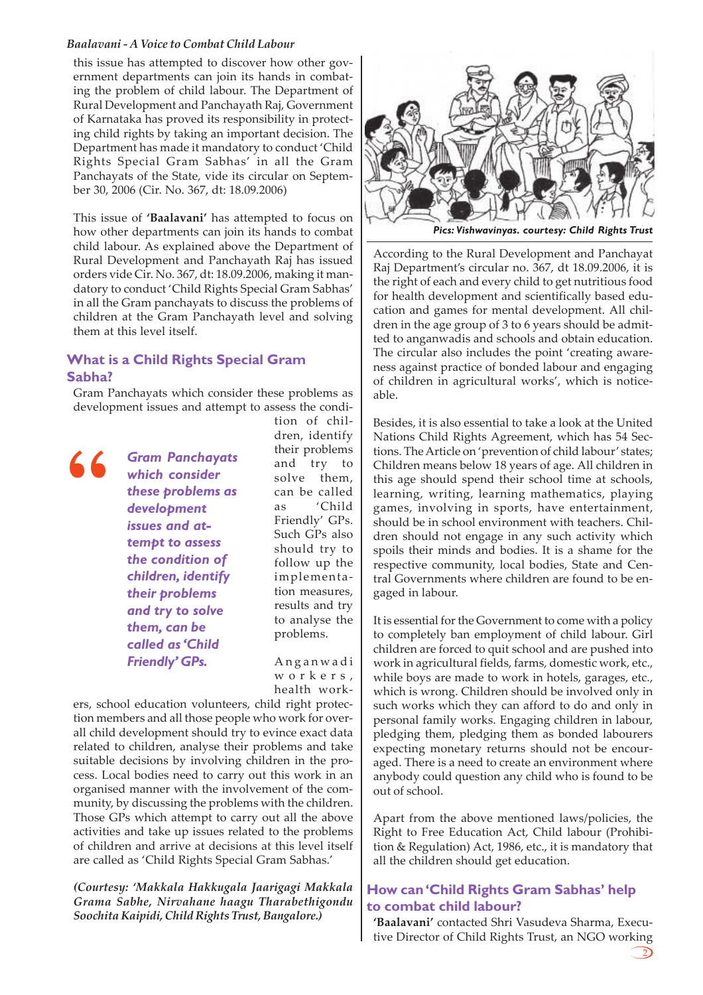this issue has attempted to discover how other government departments can join its hands in combating the problem of child labour. The Department of Rural Development and Panchayath Raj, Government of Karnataka has proved its responsibility in protecting child rights by taking an important decision. The Department has made it mandatory to conduct 'Child Rights Special Gram Sabhas' in all the Gram Panchayats of the State, vide its circular on September 30, 2006 (Cir. No. 367, dt: 18.09.2006)

This issue of **'Baalavani'** has attempted to focus on how other departments can join its hands to combat child labour. As explained above the Department of Rural Development and Panchayath Raj has issued orders vide Cir. No. 367, dt: 18.09.2006, making it mandatory to conduct 'Child Rights Special Gram Sabhas' in all the Gram panchayats to discuss the problems of children at the Gram Panchayath level and solving them at this level itself.

#### **What is a Child Rights Special Gram Sabha?**

Gram Panchayats which consider these problems as development issues and attempt to assess the condi-

**"**

*Gram Panchayats which consider these problems as development issues and attempt to assess the condition of children, identify their problems and try to solve them, can be called as 'Child Friendly' GPs.*

tion of children, identify their problems and try to solve them, can be called as 'Child Friendly' GPs. Such GPs also should try to follow up the implementation measures, results and try to analyse the problems.

Anganwadi workers, health work-

ers, school education volunteers, child right protection members and all those people who work for overall child development should try to evince exact data related to children, analyse their problems and take suitable decisions by involving children in the process. Local bodies need to carry out this work in an organised manner with the involvement of the community, by discussing the problems with the children. Those GPs which attempt to carry out all the above activities and take up issues related to the problems of children and arrive at decisions at this level itself are called as 'Child Rights Special Gram Sabhas.'

*(Courtesy: 'Makkala Hakkugala Jaarigagi Makkala Grama Sabhe, Nirvahane haagu Tharabethigondu Soochita Kaipidi, Child Rights Trust, Bangalore.)*



According to the Rural Development and Panchayat Raj Department's circular no. 367, dt 18.09.2006, it is the right of each and every child to get nutritious food for health development and scientifically based education and games for mental development. All children in the age group of 3 to 6 years should be admitted to anganwadis and schools and obtain education. The circular also includes the point 'creating awareness against practice of bonded labour and engaging of children in agricultural works', which is noticeable.

Besides, it is also essential to take a look at the United Nations Child Rights Agreement, which has 54 Sections. The Article on 'prevention of child labour' states; Children means below 18 years of age. All children in this age should spend their school time at schools, learning, writing, learning mathematics, playing games, involving in sports, have entertainment, should be in school environment with teachers. Children should not engage in any such activity which spoils their minds and bodies. It is a shame for the respective community, local bodies, State and Central Governments where children are found to be engaged in labour.

It is essential for the Government to come with a policy to completely ban employment of child labour. Girl children are forced to quit school and are pushed into work in agricultural fields, farms, domestic work, etc., while boys are made to work in hotels, garages, etc., which is wrong. Children should be involved only in such works which they can afford to do and only in personal family works. Engaging children in labour, pledging them, pledging them as bonded labourers expecting monetary returns should not be encouraged. There is a need to create an environment where anybody could question any child who is found to be out of school.

Apart from the above mentioned laws/policies, the Right to Free Education Act, Child labour (Prohibition & Regulation) Act, 1986, etc., it is mandatory that all the children should get education.

#### **How can 'Child Rights Gram Sabhas' help to combat child labour?**

**'Baalavani'** contacted Shri Vasudeva Sharma, Executive Director of Child Rights Trust, an NGO working

 $\mathcal{D}$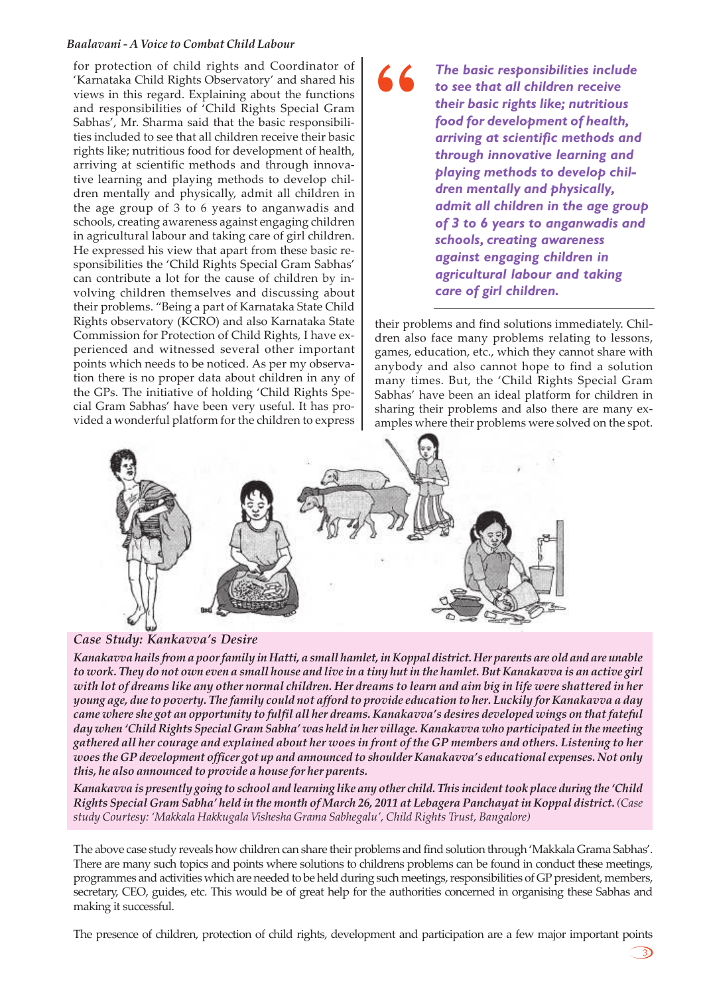for protection of child rights and Coordinator of 'Karnataka Child Rights Observatory' and shared his views in this regard. Explaining about the functions and responsibilities of 'Child Rights Special Gram Sabhas', Mr. Sharma said that the basic responsibilities included to see that all children receive their basic rights like; nutritious food for development of health, arriving at scientific methods and through innovative learning and playing methods to develop children mentally and physically, admit all children in the age group of 3 to 6 years to anganwadis and schools, creating awareness against engaging children in agricultural labour and taking care of girl children. He expressed his view that apart from these basic responsibilities the 'Child Rights Special Gram Sabhas' can contribute a lot for the cause of children by involving children themselves and discussing about their problems. "Being a part of Karnataka State Child Rights observatory (KCRO) and also Karnataka State Commission for Protection of Child Rights, I have experienced and witnessed several other important points which needs to be noticed. As per my observation there is no proper data about children in any of the GPs. The initiative of holding 'Child Rights Special Gram Sabhas' have been very useful. It has provided a wonderful platform for the children to express

*The basic responsibilities include to see that all children receive their basic rights like; nutritious food for development of health, arriving at scientific methods and through innovative learning and playing methods to develop children mentally and physically, admit all children in the age group of 3 to 6 years to anganwadis and schools, creating awareness against engaging children in agricultural labour and taking care of girl children.*

their problems and find solutions immediately. Children also face many problems relating to lessons, games, education, etc., which they cannot share with anybody and also cannot hope to find a solution many times. But, the 'Child Rights Special Gram Sabhas' have been an ideal platform for children in sharing their problems and also there are many examples where their problems were solved on the spot.

<u> 3)</u>



**"**

*Case Study: Kankavva's Desire*

*Kanakavva hails from a poor family in Hatti, a small hamlet, in Koppal district. Her parents are old and are unable to work. They do not own even a small house and live in a tiny hut in the hamlet. But Kanakavva is an active girl with lot of dreams like any other normal children. Her dreams to learn and aim big in life were shattered in her young age, due to poverty. The family could not afford to provide education to her. Luckily for Kanakavva a day came where she got an opportunity to fulfil all her dreams. Kanakavva's desires developed wings on that fateful day when 'Child Rights Special Gram Sabha' was held in her village. Kanakavva who participated in the meeting gathered all her courage and explained about her woes in front of the GP members and others. Listening to her woes the GP development officer got up and announced to shoulder Kanakavva's educational expenses. Not only this, he also announced to provide a house for her parents.*

*Kanakavva is presently going to school and learning like any other child. This incident took place during the 'Child Rights Special Gram Sabha' held in the month of March 26, 2011 at Lebagera Panchayat in Koppal district. (Case study Courtesy: 'Makkala Hakkugala Vishesha Grama Sabhegalu', Child Rights Trust, Bangalore)*

The above case study reveals how children can share their problems and find solution through 'Makkala Grama Sabhas'. There are many such topics and points where solutions to childrens problems can be found in conduct these meetings, programmes and activities which are needed to be held during such meetings, responsibilities of GP president, members, secretary, CEO, guides, etc. This would be of great help for the authorities concerned in organising these Sabhas and making it successful.

The presence of children, protection of child rights, development and participation are a few major important points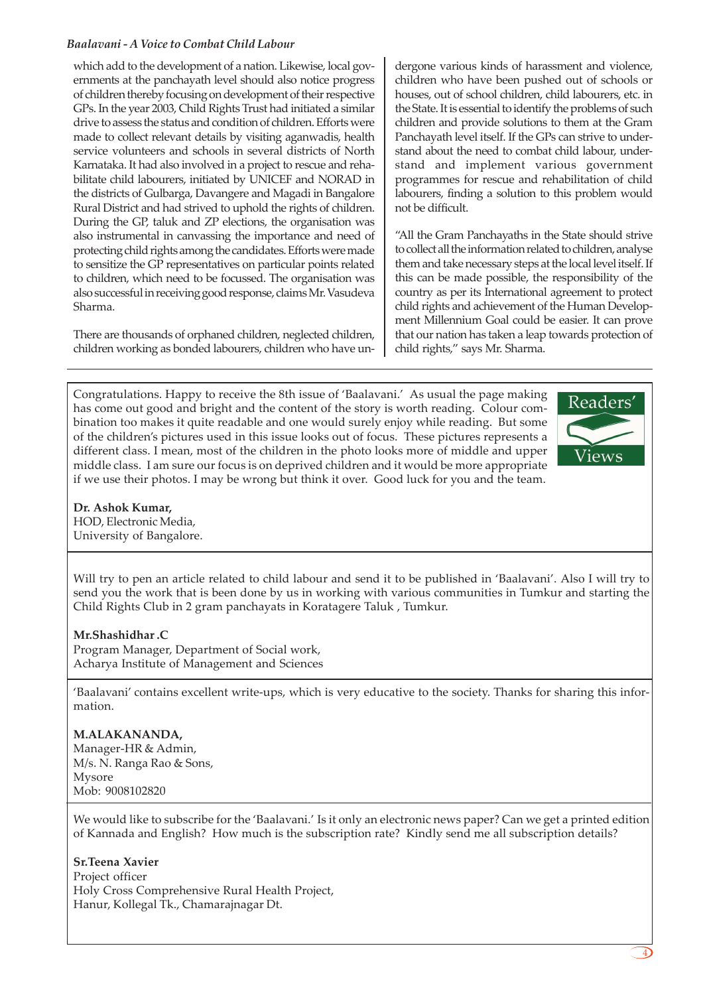which add to the development of a nation. Likewise, local governments at the panchayath level should also notice progress of children thereby focusing on development of their respective GPs. In the year 2003, Child Rights Trust had initiated a similar drive to assess the status and condition of children. Efforts were made to collect relevant details by visiting aganwadis, health service volunteers and schools in several districts of North Karnataka. It had also involved in a project to rescue and rehabilitate child labourers, initiated by UNICEF and NORAD in the districts of Gulbarga, Davangere and Magadi in Bangalore Rural District and had strived to uphold the rights of children. During the GP, taluk and ZP elections, the organisation was also instrumental in canvassing the importance and need of protecting child rights among the candidates. Efforts were made to sensitize the GP representatives on particular points related to children, which need to be focussed. The organisation was also successful in receiving good response, claims Mr. Vasudeva Sharma.

There are thousands of orphaned children, neglected children, children working as bonded labourers, children who have un-

dergone various kinds of harassment and violence, children who have been pushed out of schools or houses, out of school children, child labourers, etc. in the State. It is essential to identify the problems of such children and provide solutions to them at the Gram Panchayath level itself. If the GPs can strive to understand about the need to combat child labour, understand and implement various government programmes for rescue and rehabilitation of child labourers, finding a solution to this problem would not be difficult.

"All the Gram Panchayaths in the State should strive to collect all the information related to children, analyse them and take necessary steps at the local level itself. If this can be made possible, the responsibility of the country as per its International agreement to protect child rights and achievement of the Human Development Millennium Goal could be easier. It can prove that our nation has taken a leap towards protection of child rights," says Mr. Sharma.

Congratulations. Happy to receive the 8th issue of 'Baalavani.' As usual the page making has come out good and bright and the content of the story is worth reading. Colour combination too makes it quite readable and one would surely enjoy while reading. But some of the children's pictures used in this issue looks out of focus. These pictures represents a different class. I mean, most of the children in the photo looks more of middle and upper middle class. I am sure our focus is on deprived children and it would be more appropriate if we use their photos. I may be wrong but think it over. Good luck for you and the team.



**Dr. Ashok Kumar,** HOD, Electronic Media, University of Bangalore.

Will try to pen an article related to child labour and send it to be published in 'Baalavani'. Also I will try to send you the work that is been done by us in working with various communities in Tumkur and starting the Child Rights Club in 2 gram panchayats in Koratagere Taluk , Tumkur.

#### **Mr.Shashidhar .C**

Program Manager, Department of Social work, Acharya Institute of Management and Sciences

'Baalavani' contains excellent write-ups, which is very educative to the society. Thanks for sharing this information.

#### **M.ALAKANANDA,**

Manager-HR & Admin, M/s. N. Ranga Rao & Sons, Mysore Mob: 9008102820

We would like to subscribe for the 'Baalavani.' Is it only an electronic news paper? Can we get a printed edition of Kannada and English? How much is the subscription rate? Kindly send me all subscription details?

#### **Sr.Teena Xavier**

Project officer Holy Cross Comprehensive Rural Health Project, Hanur, Kollegal Tk., Chamarajnagar Dt.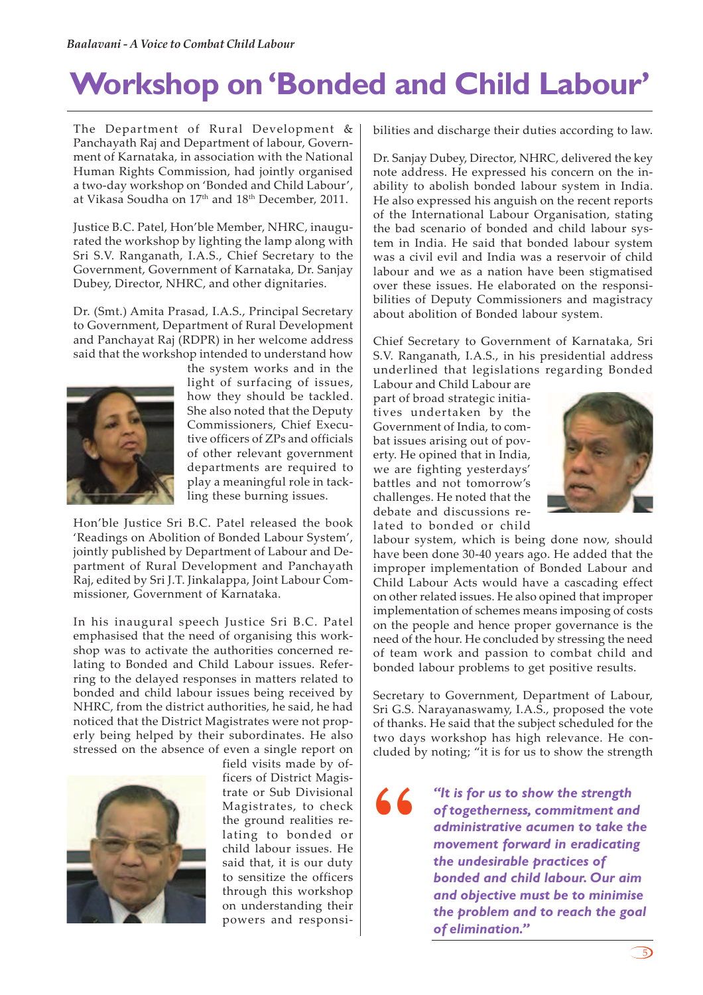# **Workshop on 'Bonded and Child Labour'**

The Department of Rural Development & Panchayath Raj and Department of labour, Government of Karnataka, in association with the National Human Rights Commission, had jointly organised a two-day workshop on 'Bonded and Child Labour', at Vikasa Soudha on 17<sup>th</sup> and 18<sup>th</sup> December, 2011.

Justice B.C. Patel, Hon'ble Member, NHRC, inaugurated the workshop by lighting the lamp along with Sri S.V. Ranganath, I.A.S., Chief Secretary to the Government, Government of Karnataka, Dr. Sanjay Dubey, Director, NHRC, and other dignitaries.

Dr. (Smt.) Amita Prasad, I.A.S., Principal Secretary to Government, Department of Rural Development and Panchayat Raj (RDPR) in her welcome address said that the workshop intended to understand how



the system works and in the light of surfacing of issues, how they should be tackled. She also noted that the Deputy Commissioners, Chief Executive officers of ZPs and officials of other relevant government departments are required to play a meaningful role in tackling these burning issues.

Hon'ble Justice Sri B.C. Patel released the book 'Readings on Abolition of Bonded Labour System', jointly published by Department of Labour and Department of Rural Development and Panchayath Raj, edited by Sri J.T. Jinkalappa, Joint Labour Commissioner, Government of Karnataka.

In his inaugural speech Justice Sri B.C. Patel emphasised that the need of organising this workshop was to activate the authorities concerned relating to Bonded and Child Labour issues. Referring to the delayed responses in matters related to bonded and child labour issues being received by NHRC, from the district authorities, he said, he had noticed that the District Magistrates were not properly being helped by their subordinates. He also stressed on the absence of even a single report on



field visits made by officers of District Magistrate or Sub Divisional Magistrates, to check the ground realities relating to bonded or child labour issues. He said that, it is our duty to sensitize the officers through this workshop on understanding their powers and responsibilities and discharge their duties according to law.

Dr. Sanjay Dubey, Director, NHRC, delivered the key note address. He expressed his concern on the inability to abolish bonded labour system in India. He also expressed his anguish on the recent reports of the International Labour Organisation, stating the bad scenario of bonded and child labour system in India. He said that bonded labour system was a civil evil and India was a reservoir of child labour and we as a nation have been stigmatised over these issues. He elaborated on the responsibilities of Deputy Commissioners and magistracy about abolition of Bonded labour system.

Chief Secretary to Government of Karnataka, Sri S.V. Ranganath, I.A.S., in his presidential address underlined that legislations regarding Bonded

Labour and Child Labour are part of broad strategic initiatives undertaken by the Government of India, to combat issues arising out of poverty. He opined that in India, we are fighting yesterdays' battles and not tomorrow's challenges. He noted that the debate and discussions related to bonded or child



labour system, which is being done now, should have been done 30-40 years ago. He added that the improper implementation of Bonded Labour and Child Labour Acts would have a cascading effect on other related issues. He also opined that improper implementation of schemes means imposing of costs on the people and hence proper governance is the need of the hour. He concluded by stressing the need of team work and passion to combat child and bonded labour problems to get positive results.

Secretary to Government, Department of Labour, Sri G.S. Narayanaswamy, I.A.S., proposed the vote of thanks. He said that the subject scheduled for the two days workshop has high relevance. He concluded by noting; "it is for us to show the strength

**"**

*"It is for us to show the strength of togetherness, commitment and administrative acumen to take the movement forward in eradicating the undesirable practices of bonded and child labour. Our aim and objective must be to minimise the problem and to reach the goal of elimination."*

 $\bigcirc$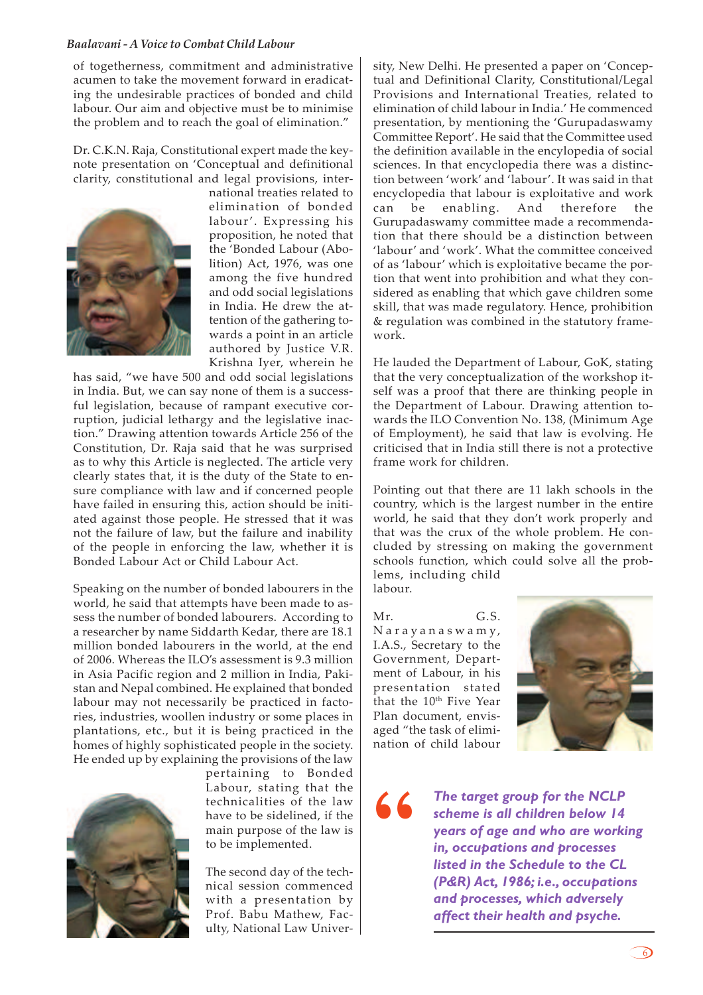of togetherness, commitment and administrative acumen to take the movement forward in eradicating the undesirable practices of bonded and child labour. Our aim and objective must be to minimise the problem and to reach the goal of elimination."

Dr. C.K.N. Raja, Constitutional expert made the keynote presentation on 'Conceptual and definitional clarity, constitutional and legal provisions, inter-



national treaties related to elimination of bonded labour'. Expressing his proposition, he noted that the 'Bonded Labour (Abolition) Act, 1976, was one among the five hundred and odd social legislations in India. He drew the attention of the gathering towards a point in an article authored by Justice V.R. Krishna Iyer, wherein he

has said, "we have 500 and odd social legislations in India. But, we can say none of them is a successful legislation, because of rampant executive corruption, judicial lethargy and the legislative inaction." Drawing attention towards Article 256 of the Constitution, Dr. Raja said that he was surprised as to why this Article is neglected. The article very clearly states that, it is the duty of the State to ensure compliance with law and if concerned people have failed in ensuring this, action should be initiated against those people. He stressed that it was not the failure of law, but the failure and inability of the people in enforcing the law, whether it is Bonded Labour Act or Child Labour Act.

Speaking on the number of bonded labourers in the world, he said that attempts have been made to assess the number of bonded labourers. According to a researcher by name Siddarth Kedar, there are 18.1 million bonded labourers in the world, at the end of 2006. Whereas the ILO's assessment is 9.3 million in Asia Pacific region and 2 million in India, Pakistan and Nepal combined. He explained that bonded labour may not necessarily be practiced in factories, industries, woollen industry or some places in plantations, etc., but it is being practiced in the homes of highly sophisticated people in the society. He ended up by explaining the provisions of the law



pertaining to Bonded Labour, stating that the technicalities of the law have to be sidelined, if the main purpose of the law is to be implemented.

The second day of the technical session commenced with a presentation by Prof. Babu Mathew, Faculty, National Law University, New Delhi. He presented a paper on 'Conceptual and Definitional Clarity, Constitutional/Legal Provisions and International Treaties, related to elimination of child labour in India.' He commenced presentation, by mentioning the 'Gurupadaswamy Committee Report'. He said that the Committee used the definition available in the encylopedia of social sciences. In that encyclopedia there was a distinction between 'work' and 'labour'. It was said in that encyclopedia that labour is exploitative and work can be enabling. And therefore the Gurupadaswamy committee made a recommendation that there should be a distinction between 'labour' and 'work'. What the committee conceived of as 'labour' which is exploitative became the portion that went into prohibition and what they considered as enabling that which gave children some skill, that was made regulatory. Hence, prohibition & regulation was combined in the statutory framework.

He lauded the Department of Labour, GoK, stating that the very conceptualization of the workshop itself was a proof that there are thinking people in the Department of Labour. Drawing attention towards the ILO Convention No. 138, (Minimum Age of Employment), he said that law is evolving. He criticised that in India still there is not a protective frame work for children.

Pointing out that there are 11 lakh schools in the country, which is the largest number in the entire world, he said that they don't work properly and that was the crux of the whole problem. He concluded by stressing on making the government schools function, which could solve all the problems, including child labour.

Mr. G.S. Narayanasw amy, I.A.S., Secretary to the Government, Department of Labour, in his presentation stated that the 10<sup>th</sup> Five Year Plan document, envisaged "the task of elimination of child labour



**"**

*The target group for the NCLP scheme is all children below 14 years of age and who are working in, occupations and processes listed in the Schedule to the CL (P&R) Act, 1986; i.e., occupations and processes, which adversely affect their health and psyche.*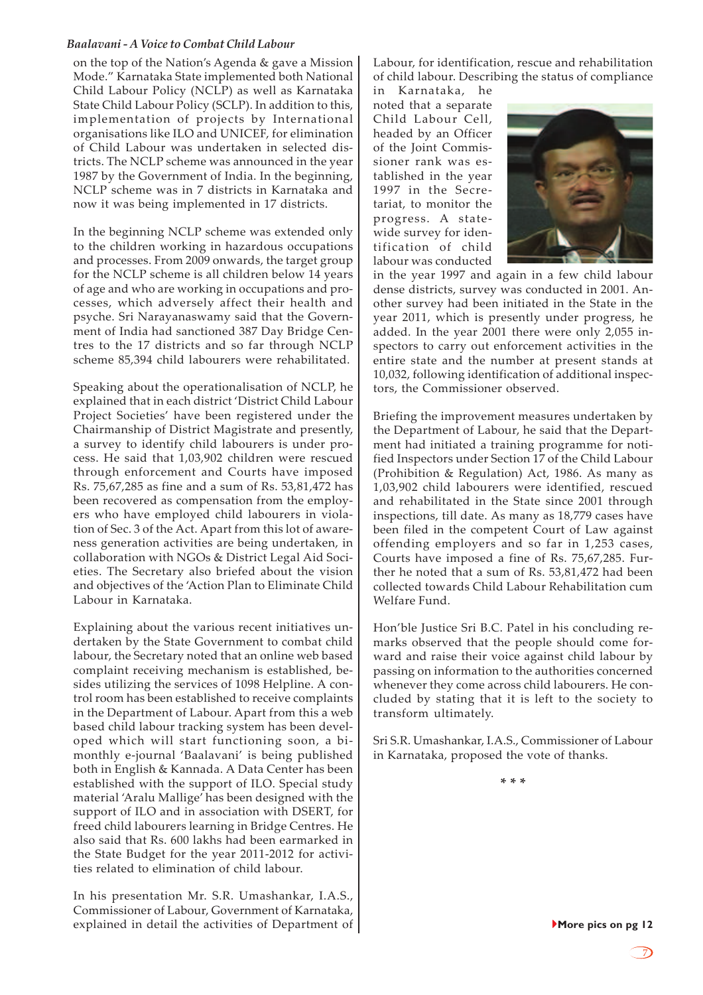on the top of the Nation's Agenda & gave a Mission Mode." Karnataka State implemented both National Child Labour Policy (NCLP) as well as Karnataka State Child Labour Policy (SCLP). In addition to this, implementation of projects by International organisations like ILO and UNICEF, for elimination of Child Labour was undertaken in selected districts. The NCLP scheme was announced in the year 1987 by the Government of India. In the beginning, NCLP scheme was in 7 districts in Karnataka and now it was being implemented in 17 districts.

In the beginning NCLP scheme was extended only to the children working in hazardous occupations and processes. From 2009 onwards, the target group for the NCLP scheme is all children below 14 years of age and who are working in occupations and processes, which adversely affect their health and psyche. Sri Narayanaswamy said that the Government of India had sanctioned 387 Day Bridge Centres to the 17 districts and so far through NCLP scheme 85,394 child labourers were rehabilitated.

Speaking about the operationalisation of NCLP, he explained that in each district 'District Child Labour Project Societies' have been registered under the Chairmanship of District Magistrate and presently, a survey to identify child labourers is under process. He said that 1,03,902 children were rescued through enforcement and Courts have imposed Rs. 75,67,285 as fine and a sum of Rs. 53,81,472 has been recovered as compensation from the employers who have employed child labourers in violation of Sec. 3 of the Act. Apart from this lot of awareness generation activities are being undertaken, in collaboration with NGOs & District Legal Aid Societies. The Secretary also briefed about the vision and objectives of the 'Action Plan to Eliminate Child Labour in Karnataka.

Explaining about the various recent initiatives undertaken by the State Government to combat child labour, the Secretary noted that an online web based complaint receiving mechanism is established, besides utilizing the services of 1098 Helpline. A control room has been established to receive complaints in the Department of Labour. Apart from this a web based child labour tracking system has been developed which will start functioning soon, a bimonthly e-journal 'Baalavani' is being published both in English & Kannada. A Data Center has been established with the support of ILO. Special study material 'Aralu Mallige' has been designed with the support of ILO and in association with DSERT, for freed child labourers learning in Bridge Centres. He also said that Rs. 600 lakhs had been earmarked in the State Budget for the year 2011-2012 for activities related to elimination of child labour.

In his presentation Mr. S.R. Umashankar, I.A.S., Commissioner of Labour, Government of Karnataka, explained in detail the activities of Department of Labour, for identification, rescue and rehabilitation of child labour. Describing the status of compliance

in Karnataka, he noted that a separate Child Labour Cell, headed by an Officer of the Joint Commissioner rank was established in the year 1997 in the Secretariat, to monitor the progress. A statewide survey for identification of child labour was conducted



in the year 1997 and again in a few child labour dense districts, survey was conducted in 2001. Another survey had been initiated in the State in the year 2011, which is presently under progress, he added. In the year 2001 there were only 2,055 inspectors to carry out enforcement activities in the entire state and the number at present stands at 10,032, following identification of additional inspectors, the Commissioner observed.

Briefing the improvement measures undertaken by the Department of Labour, he said that the Department had initiated a training programme for notified Inspectors under Section 17 of the Child Labour (Prohibition & Regulation) Act, 1986. As many as 1,03,902 child labourers were identified, rescued and rehabilitated in the State since 2001 through inspections, till date. As many as 18,779 cases have been filed in the competent Court of Law against offending employers and so far in 1,253 cases, Courts have imposed a fine of Rs. 75,67,285. Further he noted that a sum of Rs. 53,81,472 had been collected towards Child Labour Rehabilitation cum Welfare Fund.

Hon'ble Justice Sri B.C. Patel in his concluding remarks observed that the people should come forward and raise their voice against child labour by passing on information to the authorities concerned whenever they come across child labourers. He concluded by stating that it is left to the society to transform ultimately.

Sri S.R. Umashankar, I.A.S., Commissioner of Labour in Karnataka, proposed the vote of thanks.

**\* \* \***

}**More pics on pg 12**

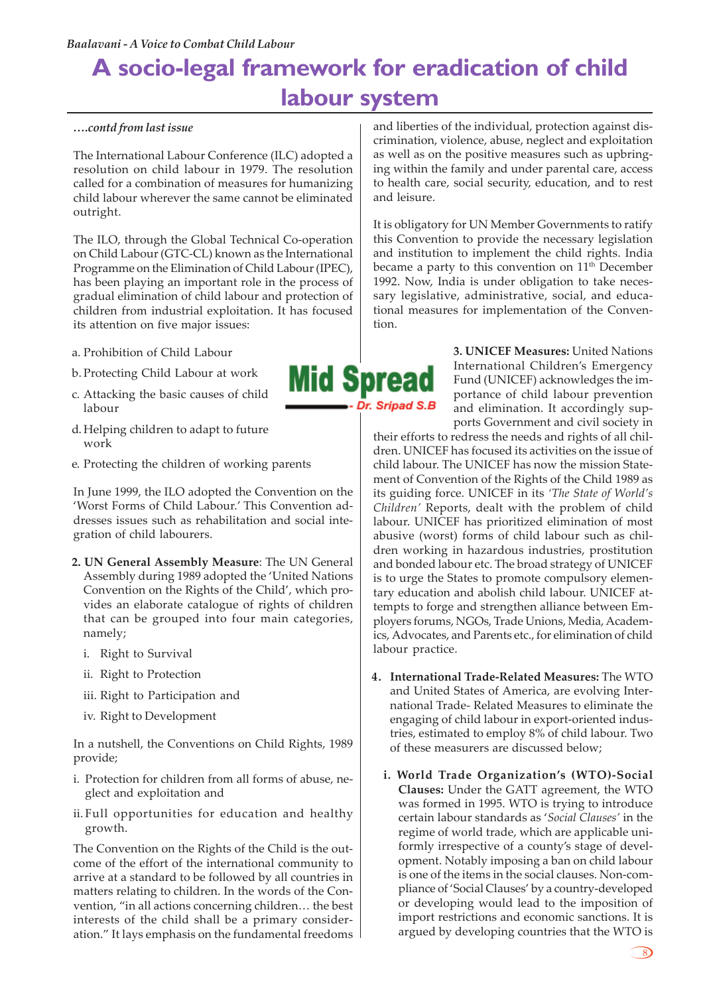## **A socio-legal framework for eradication of child labour system**

#### *….contd from last issue*

The International Labour Conference (ILC) adopted a resolution on child labour in 1979. The resolution called for a combination of measures for humanizing child labour wherever the same cannot be eliminated outright.

The ILO, through the Global Technical Co-operation on Child Labour (GTC-CL) known as the International Programme on the Elimination of Child Labour (IPEC), has been playing an important role in the process of gradual elimination of child labour and protection of children from industrial exploitation. It has focused its attention on five major issues:

- a. Prohibition of Child Labour
- b. Protecting Child Labour at work
- c. Attacking the basic causes of child labour
- d. Helping children to adapt to future work
- e. Protecting the children of working parents

In June 1999, the ILO adopted the Convention on the 'Worst Forms of Child Labour.' This Convention addresses issues such as rehabilitation and social integration of child labourers.

- **2. UN General Assembly Measure**: The UN General Assembly during 1989 adopted the 'United Nations Convention on the Rights of the Child', which provides an elaborate catalogue of rights of children that can be grouped into four main categories, namely;
	- i. Right to Survival
	- ii. Right to Protection
	- iii. Right to Participation and
	- iv. Right to Development

In a nutshell, the Conventions on Child Rights, 1989 provide;

- i. Protection for children from all forms of abuse, neglect and exploitation and
- ii.Full opportunities for education and healthy growth.

The Convention on the Rights of the Child is the outcome of the effort of the international community to arrive at a standard to be followed by all countries in matters relating to children. In the words of the Convention, "in all actions concerning children… the best interests of the child shall be a primary consideration." It lays emphasis on the fundamental freedoms and liberties of the individual, protection against discrimination, violence, abuse, neglect and exploitation as well as on the positive measures such as upbringing within the family and under parental care, access to health care, social security, education, and to rest and leisure.

It is obligatory for UN Member Governments to ratify this Convention to provide the necessary legislation and institution to implement the child rights. India became a party to this convention on 11<sup>th</sup> December 1992. Now, India is under obligation to take necessary legislative, administrative, social, and educational measures for implementation of the Convention.

> **3. UNICEF Measures:** United Nations International Children's Emergency Fund (UNICEF) acknowledges the importance of child labour prevention and elimination. It accordingly supports Government and civil society in

their efforts to redress the needs and rights of all children. UNICEF has focused its activities on the issue of child labour. The UNICEF has now the mission Statement of Convention of the Rights of the Child 1989 as its guiding force. UNICEF in its *'The State of World's Children'* Reports, dealt with the problem of child labour. UNICEF has prioritized elimination of most abusive (worst) forms of child labour such as children working in hazardous industries, prostitution and bonded labour etc. The broad strategy of UNICEF is to urge the States to promote compulsory elementary education and abolish child labour. UNICEF attempts to forge and strengthen alliance between Employers forums, NGOs, Trade Unions, Media, Academics, Advocates, and Parents etc., for elimination of child labour practice.

- **4. International Trade-Related Measures:** The WTO and United States of America, are evolving International Trade- Related Measures to eliminate the engaging of child labour in export-oriented industries, estimated to employ 8% of child labour. Two of these measurers are discussed below;
	- **i. World Trade Organization's (WTO)-Social Clauses:** Under the GATT agreement, the WTO was formed in 1995. WTO is trying to introduce certain labour standards as '*Social Clauses'* in the regime of world trade, which are applicable uniformly irrespective of a county's stage of development. Notably imposing a ban on child labour is one of the items in the social clauses. Non-compliance of 'Social Clauses' by a country-developed or developing would lead to the imposition of import restrictions and economic sanctions. It is argued by developing countries that the WTO is



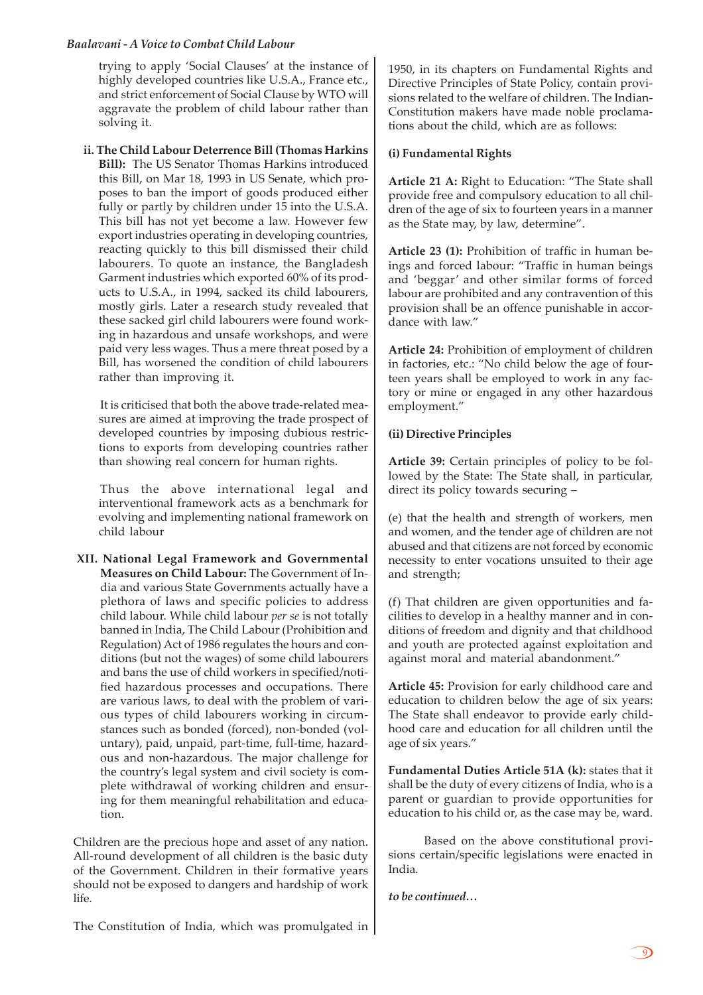trying to apply 'Social Clauses' at the instance of highly developed countries like U.S.A., France etc., and strict enforcement of Social Clause by WTO will aggravate the problem of child labour rather than solving it.

**ii. The Child Labour Deterrence Bill (Thomas Harkins Bill):** The US Senator Thomas Harkins introduced this Bill, on Mar 18, 1993 in US Senate, which proposes to ban the import of goods produced either fully or partly by children under 15 into the U.S.A. This bill has not yet become a law. However few export industries operating in developing countries, reacting quickly to this bill dismissed their child labourers. To quote an instance, the Bangladesh Garment industries which exported 60% of its products to U.S.A., in 1994, sacked its child labourers, mostly girls. Later a research study revealed that these sacked girl child labourers were found working in hazardous and unsafe workshops, and were paid very less wages. Thus a mere threat posed by a Bill, has worsened the condition of child labourers rather than improving it.

It is criticised that both the above trade-related measures are aimed at improving the trade prospect of developed countries by imposing dubious restrictions to exports from developing countries rather than showing real concern for human rights.

Thus the above international legal and interventional framework acts as a benchmark for evolving and implementing national framework on child labour

**XII. National Legal Framework and Governmental Measures on Child Labour:** The Government of India and various State Governments actually have a plethora of laws and specific policies to address child labour. While child labour *per se* is not totally banned in India, The Child Labour (Prohibition and Regulation) Act of 1986 regulates the hours and conditions (but not the wages) of some child labourers and bans the use of child workers in specified/notified hazardous processes and occupations. There are various laws, to deal with the problem of various types of child labourers working in circumstances such as bonded (forced), non-bonded (voluntary), paid, unpaid, part-time, full-time, hazardous and non-hazardous. The major challenge for the country's legal system and civil society is complete withdrawal of working children and ensuring for them meaningful rehabilitation and education.

Children are the precious hope and asset of any nation. All-round development of all children is the basic duty of the Government. Children in their formative years should not be exposed to dangers and hardship of work life.

1950, in its chapters on Fundamental Rights and Directive Principles of State Policy, contain provisions related to the welfare of children. The Indian-Constitution makers have made noble proclamations about the child, which are as follows:

#### **(i) Fundamental Rights**

**Article 21 A:** Right to Education: "The State shall provide free and compulsory education to all children of the age of six to fourteen years in a manner as the State may, by law, determine".

**Article 23 (1):** Prohibition of traffic in human beings and forced labour: "Traffic in human beings and 'beggar' and other similar forms of forced labour are prohibited and any contravention of this provision shall be an offence punishable in accordance with law."

**Article 24:** Prohibition of employment of children in factories, etc.: "No child below the age of fourteen years shall be employed to work in any factory or mine or engaged in any other hazardous employment."

#### **(ii) Directive Principles**

**Article 39:** Certain principles of policy to be followed by the State: The State shall, in particular, direct its policy towards securing –

(e) that the health and strength of workers, men and women, and the tender age of children are not abused and that citizens are not forced by economic necessity to enter vocations unsuited to their age and strength;

(f) That children are given opportunities and facilities to develop in a healthy manner and in conditions of freedom and dignity and that childhood and youth are protected against exploitation and against moral and material abandonment."

**Article 45:** Provision for early childhood care and education to children below the age of six years: The State shall endeavor to provide early childhood care and education for all children until the age of six years."

**Fundamental Duties Article 51A (k):** states that it shall be the duty of every citizens of India, who is a parent or guardian to provide opportunities for education to his child or, as the case may be, ward.

Based on the above constitutional provisions certain/specific legislations were enacted in India.

*to be continued…*

The Constitution of India, which was promulgated in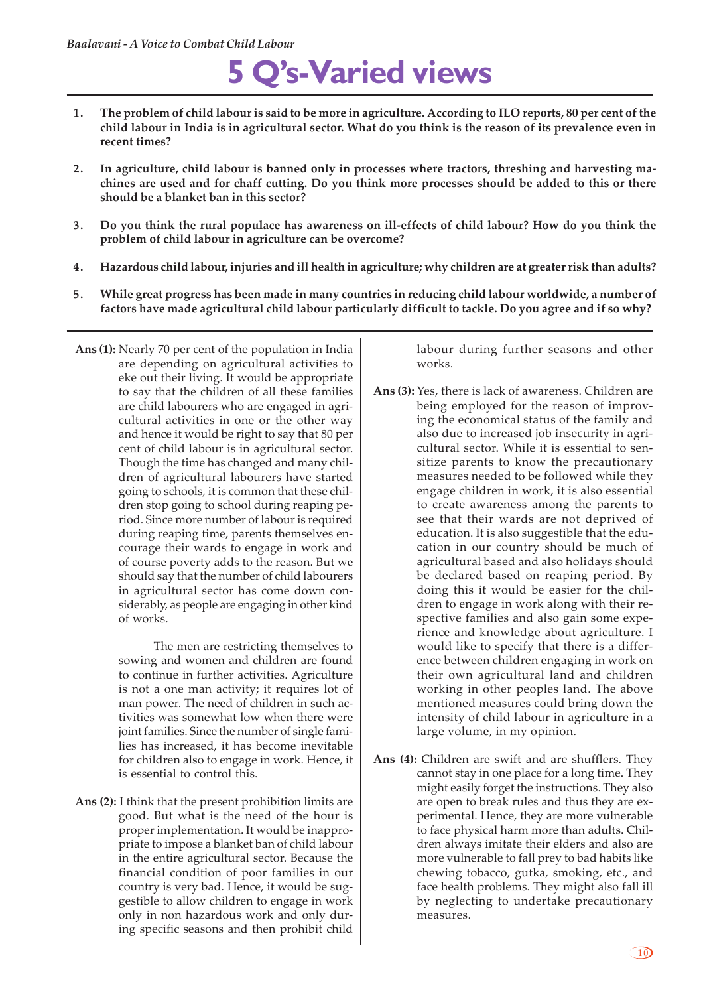# **5 Q's-Varied views**

- **1. The problem of child labour is said to be more in agriculture. According to ILO reports, 80 per cent of the child labour in India is in agricultural sector. What do you think is the reason of its prevalence even in recent times?**
- **2. In agriculture, child labour is banned only in processes where tractors, threshing and harvesting machines are used and for chaff cutting. Do you think more processes should be added to this or there should be a blanket ban in this sector?**
- **3. Do you think the rural populace has awareness on ill-effects of child labour? How do you think the problem of child labour in agriculture can be overcome?**
- **4. Hazardous child labour, injuries and ill health in agriculture; why children are at greater risk than adults?**
- **5. While great progress has been made in many countries in reducing child labour worldwide, a number of factors have made agricultural child labour particularly difficult to tackle. Do you agree and if so why?**
- **Ans (1):** Nearly 70 per cent of the population in India are depending on agricultural activities to eke out their living. It would be appropriate to say that the children of all these families are child labourers who are engaged in agricultural activities in one or the other way and hence it would be right to say that 80 per cent of child labour is in agricultural sector. Though the time has changed and many children of agricultural labourers have started going to schools, it is common that these children stop going to school during reaping period. Since more number of labour is required during reaping time, parents themselves encourage their wards to engage in work and of course poverty adds to the reason. But we should say that the number of child labourers in agricultural sector has come down considerably, as people are engaging in other kind of works.

The men are restricting themselves to sowing and women and children are found to continue in further activities. Agriculture is not a one man activity; it requires lot of man power. The need of children in such activities was somewhat low when there were joint families. Since the number of single families has increased, it has become inevitable for children also to engage in work. Hence, it is essential to control this.

**Ans (2):** I think that the present prohibition limits are good. But what is the need of the hour is proper implementation. It would be inappropriate to impose a blanket ban of child labour in the entire agricultural sector. Because the financial condition of poor families in our country is very bad. Hence, it would be suggestible to allow children to engage in work only in non hazardous work and only during specific seasons and then prohibit child

labour during further seasons and other works.

- **Ans (3):** Yes, there is lack of awareness. Children are being employed for the reason of improving the economical status of the family and also due to increased job insecurity in agricultural sector. While it is essential to sensitize parents to know the precautionary measures needed to be followed while they engage children in work, it is also essential to create awareness among the parents to see that their wards are not deprived of education. It is also suggestible that the education in our country should be much of agricultural based and also holidays should be declared based on reaping period. By doing this it would be easier for the children to engage in work along with their respective families and also gain some experience and knowledge about agriculture. I would like to specify that there is a difference between children engaging in work on their own agricultural land and children working in other peoples land. The above mentioned measures could bring down the intensity of child labour in agriculture in a large volume, in my opinion.
- **Ans (4):** Children are swift and are shufflers. They cannot stay in one place for a long time. They might easily forget the instructions. They also are open to break rules and thus they are experimental. Hence, they are more vulnerable to face physical harm more than adults. Children always imitate their elders and also are more vulnerable to fall prey to bad habits like chewing tobacco, gutka, smoking, etc., and face health problems. They might also fall ill by neglecting to undertake precautionary measures.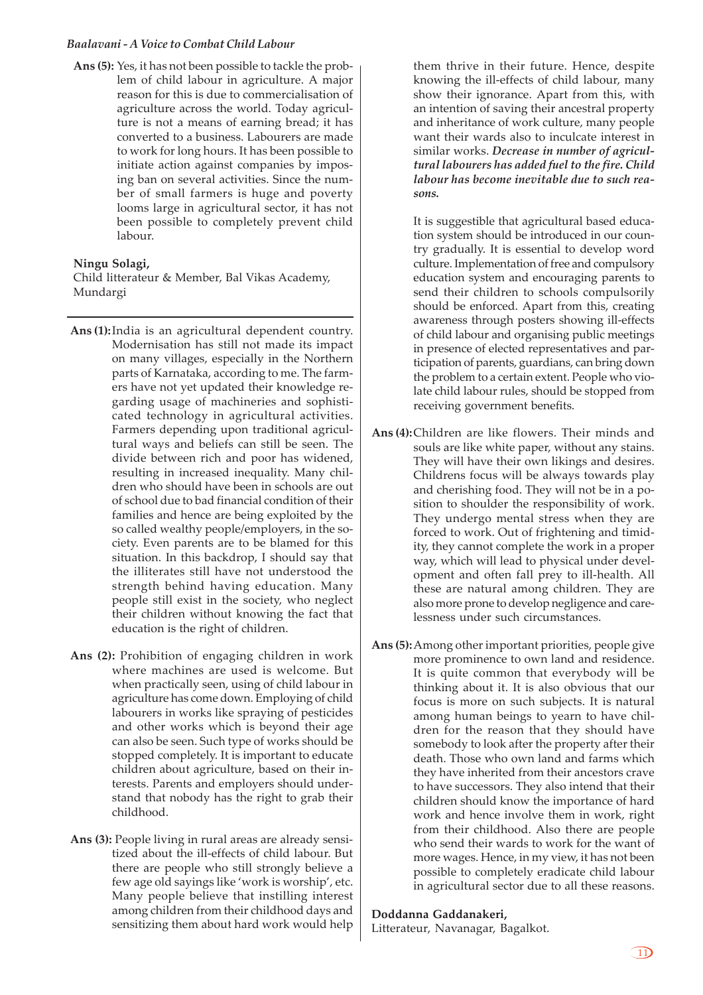**Ans (5):** Yes, it has not been possible to tackle the problem of child labour in agriculture. A major reason for this is due to commercialisation of agriculture across the world. Today agriculture is not a means of earning bread; it has converted to a business. Labourers are made to work for long hours. It has been possible to initiate action against companies by imposing ban on several activities. Since the number of small farmers is huge and poverty looms large in agricultural sector, it has not been possible to completely prevent child labour.

#### **Ningu Solagi,**

Child litterateur & Member, Bal Vikas Academy, Mundargi

- **Ans (1):**India is an agricultural dependent country. Modernisation has still not made its impact on many villages, especially in the Northern parts of Karnataka, according to me. The farmers have not yet updated their knowledge regarding usage of machineries and sophisticated technology in agricultural activities. Farmers depending upon traditional agricultural ways and beliefs can still be seen. The divide between rich and poor has widened, resulting in increased inequality. Many children who should have been in schools are out of school due to bad financial condition of their families and hence are being exploited by the so called wealthy people/employers, in the society. Even parents are to be blamed for this situation. In this backdrop, I should say that the illiterates still have not understood the strength behind having education. Many people still exist in the society, who neglect their children without knowing the fact that education is the right of children.
- **Ans (2):** Prohibition of engaging children in work where machines are used is welcome. But when practically seen, using of child labour in agriculture has come down. Employing of child labourers in works like spraying of pesticides and other works which is beyond their age can also be seen. Such type of works should be stopped completely. It is important to educate children about agriculture, based on their interests. Parents and employers should understand that nobody has the right to grab their childhood.
- **Ans (3):** People living in rural areas are already sensitized about the ill-effects of child labour. But there are people who still strongly believe a few age old sayings like 'work is worship', etc. Many people believe that instilling interest among children from their childhood days and sensitizing them about hard work would help

them thrive in their future. Hence, despite knowing the ill-effects of child labour, many show their ignorance. Apart from this, with an intention of saving their ancestral property and inheritance of work culture, many people want their wards also to inculcate interest in similar works. *Decrease in number of agricultural labourers has added fuel to the fire. Child labour has become inevitable due to such reasons.*

It is suggestible that agricultural based education system should be introduced in our country gradually. It is essential to develop word culture. Implementation of free and compulsory education system and encouraging parents to send their children to schools compulsorily should be enforced. Apart from this, creating awareness through posters showing ill-effects of child labour and organising public meetings in presence of elected representatives and participation of parents, guardians, can bring down the problem to a certain extent. People who violate child labour rules, should be stopped from receiving government benefits.

- **Ans (4):**Children are like flowers. Their minds and souls are like white paper, without any stains. They will have their own likings and desires. Childrens focus will be always towards play and cherishing food. They will not be in a position to shoulder the responsibility of work. They undergo mental stress when they are forced to work. Out of frightening and timidity, they cannot complete the work in a proper way, which will lead to physical under development and often fall prey to ill-health. All these are natural among children. They are also more prone to develop negligence and carelessness under such circumstances.
- **Ans (5):**Among other important priorities, people give more prominence to own land and residence. It is quite common that everybody will be thinking about it. It is also obvious that our focus is more on such subjects. It is natural among human beings to yearn to have children for the reason that they should have somebody to look after the property after their death. Those who own land and farms which they have inherited from their ancestors crave to have successors. They also intend that their children should know the importance of hard work and hence involve them in work, right from their childhood. Also there are people who send their wards to work for the want of more wages. Hence, in my view, it has not been possible to completely eradicate child labour in agricultural sector due to all these reasons.

#### **Doddanna Gaddanakeri,**

Litterateur, Navanagar, Bagalkot.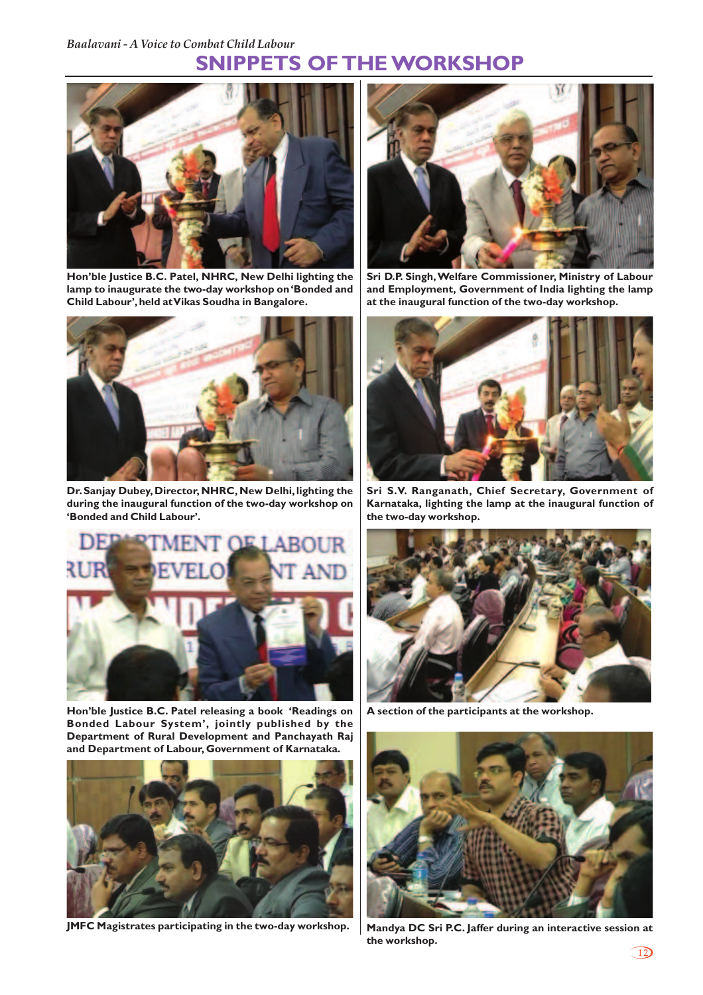## **SNIPPETS OF THE WORKSHOP**



**Hon'ble Justice B.C. Patel, NHRC, New Delhi lighting the lamp to inaugurate the two-day workshop on 'Bonded and Child Labour', held at Vikas Soudha in Bangalore.**



**Dr. Sanjay Dubey, Director, NHRC, New Delhi, lighting the during the inaugural function of the two-day workshop on 'Bonded and Child Labour'.**



**Hon'ble Justice B.C. Patel releasing a book 'Readings on Bonded Labour System', jointly published by the Department of Rural Development and Panchayath Raj and Department of Labour, Government of Karnataka.**



**JMFC Magistrates participating in the two-day workshop. Mandya DC Sri P.C. Jaffer during an interactive session at**



**Sri D.P. Singh, Welfare Commissioner, Ministry of Labour and Employment, Government of India lighting the lamp at the inaugural function of the two-day workshop.**



**Sri S.V. Ranganath, Chief Secretary, Government of Karnataka, lighting the lamp at the inaugural function of the two-day workshop.**



**A section of the participants at the workshop.**



**the workshop.**

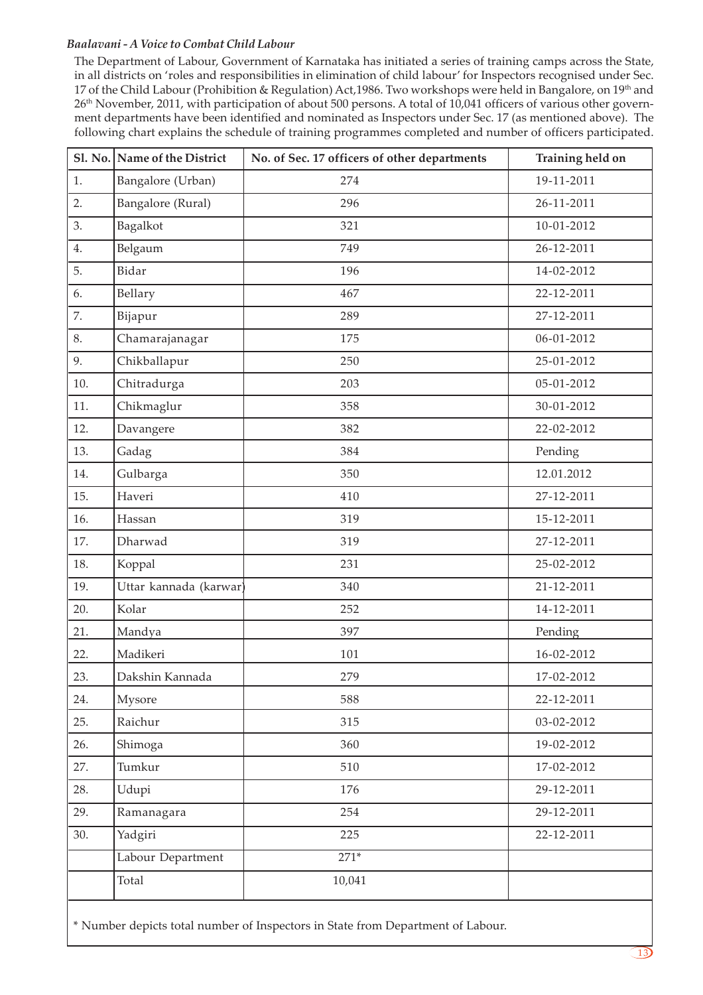The Department of Labour, Government of Karnataka has initiated a series of training camps across the State, in all districts on 'roles and responsibilities in elimination of child labour' for Inspectors recognised under Sec. 17 of the Child Labour (Prohibition & Regulation) Act,1986. Two workshops were held in Bangalore, on 19<sup>th</sup> and 26th November, 2011, with participation of about 500 persons. A total of 10,041 officers of various other government departments have been identified and nominated as Inspectors under Sec. 17 (as mentioned above). The following chart explains the schedule of training programmes completed and number of officers participated.

|     | Sl. No. Name of the District | No. of Sec. 17 officers of other departments | Training held on |
|-----|------------------------------|----------------------------------------------|------------------|
| 1.  | Bangalore (Urban)            | 274                                          | 19-11-2011       |
| 2.  | Bangalore (Rural)            | 296                                          | 26-11-2011       |
| 3.  | Bagalkot                     | 321                                          | 10-01-2012       |
| 4.  | Belgaum                      | 749                                          | 26-12-2011       |
| 5.  | Bidar                        | 196                                          | 14-02-2012       |
| 6.  | Bellary                      | 467                                          | 22-12-2011       |
| 7.  | Bijapur                      | 289                                          | 27-12-2011       |
| 8.  | Chamarajanagar               | 175                                          | 06-01-2012       |
| 9.  | Chikballapur                 | 250                                          | 25-01-2012       |
| 10. | Chitradurga                  | 203                                          | 05-01-2012       |
| 11. | Chikmaglur                   | 358                                          | 30-01-2012       |
| 12. | Davangere                    | 382                                          | 22-02-2012       |
| 13. | Gadag                        | 384                                          | Pending          |
| 14. | Gulbarga                     | 350                                          | 12.01.2012       |
| 15. | Haveri                       | 410                                          | 27-12-2011       |
| 16. | Hassan                       | 319                                          | 15-12-2011       |
| 17. | Dharwad                      | 319                                          | 27-12-2011       |
| 18. | Koppal                       | 231                                          | 25-02-2012       |
| 19. | Uttar kannada (karwar)       | 340                                          | 21-12-2011       |
| 20. | Kolar                        | 252                                          | 14-12-2011       |
| 21. | Mandya                       | 397                                          | Pending          |
| 22. | Madikeri                     | 101                                          | 16-02-2012       |
| 23. | Dakshin Kannada              | 279                                          | 17-02-2012       |
| 24. | Mysore                       | 588                                          | 22-12-2011       |
| 25. | Raichur                      | 315                                          | 03-02-2012       |
| 26. | Shimoga                      | 360                                          | 19-02-2012       |
| 27. | Tumkur                       | 510                                          | 17-02-2012       |
| 28. | Udupi                        | 176                                          | 29-12-2011       |
| 29. | Ramanagara                   | 254                                          | 29-12-2011       |
| 30. | Yadgiri                      | 225                                          | 22-12-2011       |
|     | Labour Department            | $271*$                                       |                  |
|     | Total                        | 10,041                                       |                  |

\* Number depicts total number of Inspectors in State from Department of Labour.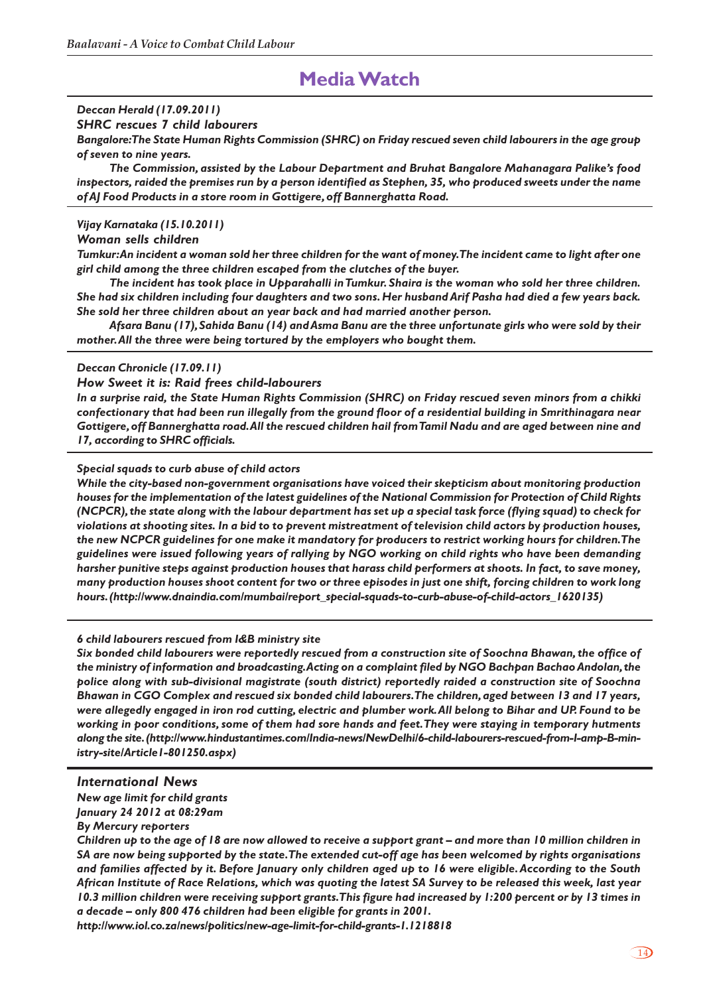## **Media Watch**

#### *Deccan Herald (17.09.2011)*

*SHRC rescues 7 child labourers*

*Bangalore:The State Human Rights Commission (SHRC) on Friday rescued seven child labourers in the age group of seven to nine years.*

*The Commission, assisted by the Labour Department and Bruhat Bangalore Mahanagara Palike's food inspectors, raided the premises run by a person identified as Stephen, 35, who produced sweets under the name of AJ Food Products in a store room in Gottigere, off Bannerghatta Road.*

#### *Vijay Karnataka (15.10.2011)*

#### *Woman sells children*

*Tumkur: An incident a woman sold her three children for the want of money. The incident came to light after one girl child among the three children escaped from the clutches of the buyer.*

*The incident has took place in Upparahalli in Tumkur. Shaira is the woman who sold her three children. She had six children including four daughters and two sons. Her husband Arif Pasha had died a few years back. She sold her three children about an year back and had married another person.*

*Afsara Banu (17), Sahida Banu (14) and Asma Banu are the three unfortunate girls who were sold by their mother. All the three were being tortured by the employers who bought them.*

#### *Deccan Chronicle (17.09.11)*

#### *How Sweet it is: Raid frees child-labourers*

*In a surprise raid, the State Human Rights Commission (SHRC) on Friday rescued seven minors from a chikki confectionary that had been run illegally from the ground floor of a residential building in Smrithinagara near Gottigere, off Bannerghatta road.All the rescued children hail from Tamil Nadu and are aged between nine and 17, according to SHRC officials.*

#### *Special squads to curb abuse of child actors*

*While the city-based non-government organisations have voiced their skepticism about monitoring production houses for the implementation of the latest guidelines of the National Commission for Protection of Child Rights (NCPCR), the state along with the labour department has set up a special task force (flying squad) to check for violations at shooting sites. In a bid to to prevent mistreatment of television child actors by production houses, the new NCPCR guidelines for one make it mandatory for producers to restrict working hours for children.The guidelines were issued following years of rallying by NGO working on child rights who have been demanding harsher punitive steps against production houses that harass child performers at shoots. In fact, to save money, many production houses shoot content for two or three episodes in just one shift, forcing children to work long hours. (http://www.dnaindia.com/mumbai/report\_special-squads-to-curb-abuse-of-child-actors\_1620135)*

#### *6 child labourers rescued from I&B ministry site*

*Six bonded child labourers were reportedly rescued from a construction site of Soochna Bhawan, the office of the ministry of information and broadcasting.Acting on a complaint filed by NGO Bachpan Bachao Andolan, the police along with sub-divisional magistrate (south district) reportedly raided a construction site of Soochna Bhawan in CGO Complex and rescued six bonded child labourers. The children, aged between 13 and 17 years, were allegedly engaged in iron rod cutting, electric and plumber work.All belong to Bihar and UP. Found to be working in poor conditions, some of them had sore hands and feet.They were staying in temporary hutments along the site. (http://www.hindustantimes.com/India-news/NewDelhi/6-child-labourers-rescued-from-I-amp-B-ministry-site/Article1-801250.aspx)*

#### *International News*

*New age limit for child grants January 24 2012 at 08:29am*

*By Mercury reporters*

*Children up to the age of 18 are now allowed to receive a support grant – and more than 10 million children in SA are now being supported by the state. The extended cut-off age has been welcomed by rights organisations and families affected by it. Before January only children aged up to 16 were eligible. According to the South African Institute of Race Relations, which was quoting the latest SA Survey to be released this week, last year 10.3 million children were receiving support grants. This figure had increased by 1:200 percent or by 13 times in a decade – only 800 476 children had been eligible for grants in 2001.*

*http://www.iol.co.za/news/politics/new-age-limit-for-child-grants-1.1218818*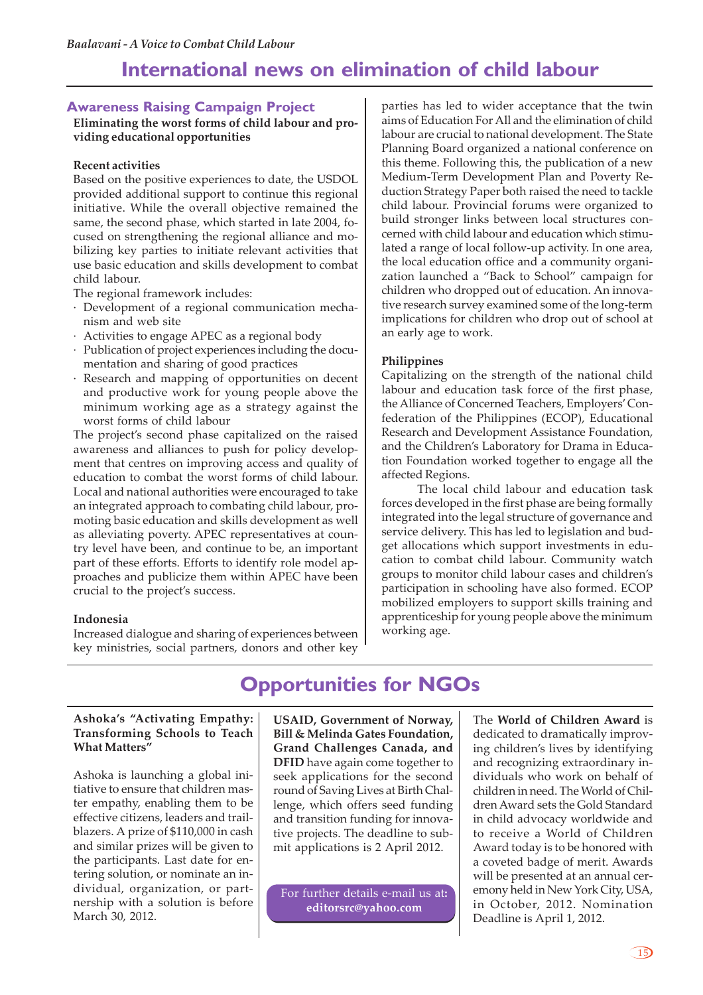### **International news on elimination of child labour**

#### **Awareness Raising Campaign Project**

**Eliminating the worst forms of child labour and providing educational opportunities**

#### **Recent activities**

Based on the positive experiences to date, the USDOL provided additional support to continue this regional initiative. While the overall objective remained the same, the second phase, which started in late 2004, focused on strengthening the regional alliance and mobilizing key parties to initiate relevant activities that use basic education and skills development to combat child labour.

The regional framework includes:

- · Development of a regional communication mechanism and web site
- · Activities to engage APEC as a regional body
- Publication of project experiences including the documentation and sharing of good practices
- · Research and mapping of opportunities on decent and productive work for young people above the minimum working age as a strategy against the worst forms of child labour

The project's second phase capitalized on the raised awareness and alliances to push for policy development that centres on improving access and quality of education to combat the worst forms of child labour. Local and national authorities were encouraged to take an integrated approach to combating child labour, promoting basic education and skills development as well as alleviating poverty. APEC representatives at country level have been, and continue to be, an important part of these efforts. Efforts to identify role model approaches and publicize them within APEC have been crucial to the project's success.

#### **Indonesia**

Increased dialogue and sharing of experiences between key ministries, social partners, donors and other key

parties has led to wider acceptance that the twin aims of Education For All and the elimination of child labour are crucial to national development. The State Planning Board organized a national conference on this theme. Following this, the publication of a new Medium-Term Development Plan and Poverty Reduction Strategy Paper both raised the need to tackle child labour. Provincial forums were organized to build stronger links between local structures concerned with child labour and education which stimulated a range of local follow-up activity. In one area, the local education office and a community organization launched a "Back to School" campaign for children who dropped out of education. An innovative research survey examined some of the long-term implications for children who drop out of school at an early age to work.

#### **Philippines**

Capitalizing on the strength of the national child labour and education task force of the first phase, the Alliance of Concerned Teachers, Employers' Confederation of the Philippines (ECOP), Educational Research and Development Assistance Foundation, and the Children's Laboratory for Drama in Education Foundation worked together to engage all the affected Regions.

The local child labour and education task forces developed in the first phase are being formally integrated into the legal structure of governance and service delivery. This has led to legislation and budget allocations which support investments in education to combat child labour. Community watch groups to monitor child labour cases and children's participation in schooling have also formed. ECOP mobilized employers to support skills training and apprenticeship for young people above the minimum working age.

## **Opportunities for NGOs**

#### **Ashoka's "Activating Empathy: Transforming Schools to Teach What Matters"**

Ashoka is launching a global initiative to ensure that children master empathy, enabling them to be effective citizens, leaders and trailblazers. A prize of \$110,000 in cash and similar prizes will be given to the participants. Last date for entering solution, or nominate an individual, organization, or partnership with a solution is before March 30, 2012.

**USAID, Government of Norway, Bill & Melinda Gates Foundation, Grand Challenges Canada, and DFID** have again come together to seek applications for the second round of Saving Lives at Birth Challenge, which offers seed funding and transition funding for innovative projects. The deadline to submit applications is 2 April 2012.

For further details e-mail us at**: editorsrc@yahoo.com**

The **World of Children Award** is dedicated to dramatically improving children's lives by identifying and recognizing extraordinary individuals who work on behalf of children in need. The World of Children Award sets the Gold Standard in child advocacy worldwide and to receive a World of Children Award today is to be honored with a coveted badge of merit. Awards will be presented at an annual ceremony held in New York City, USA, in October, 2012. Nomination Deadline is April 1, 2012.

15)